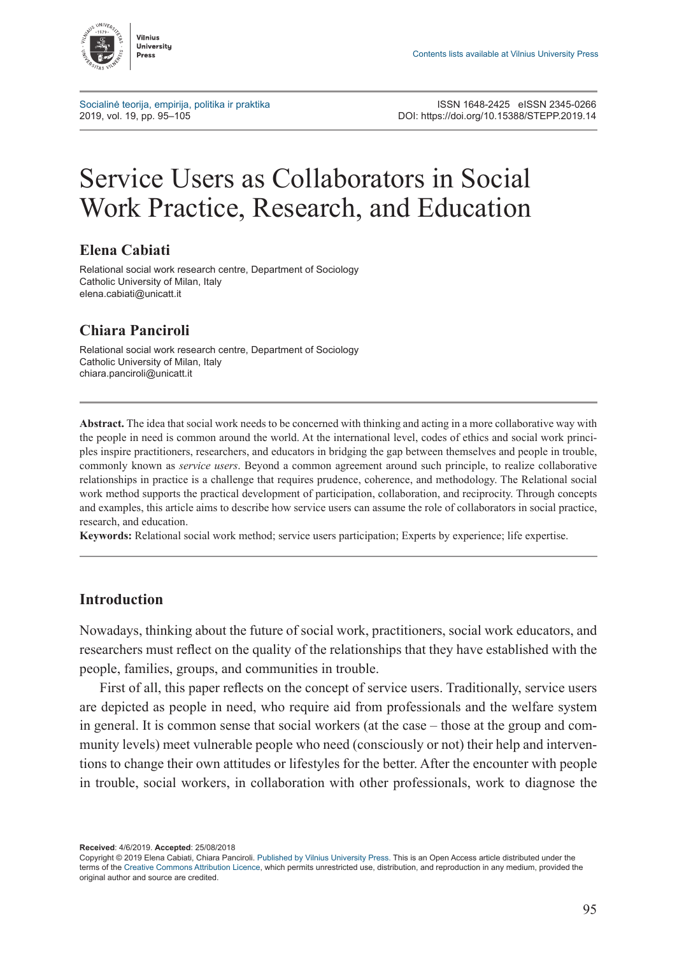

[Socialinė teorija, empirija, politika ir praktika](http://www.journals.vu.lt/STEPP) ISSN 1648-2425 eISSN 2345-0266<br>2019, vol. 19, pp. 95–105<br>2019, DOI: https://doi.org/10.15388/STEPP.2019.14 2019, vol. 19, pp. 95–105 DOI: <https://doi.org/10.15388/STEPP.2019.14>

# Service Users as Collaborators in Social Work Practice, Research, and Education

#### **Elena Cabiati**

Relational social work research centre, Department of Sociology Catholic University of Milan, Italy elena.cabiati@unicatt.it

## **Chiara Panciroli**

Relational social work research centre, Department of Sociology Catholic University of Milan, Italy [chiara.panciroli@unicatt.it](mailto:chiara.panciroli@unicatt.it)

**Abstract.** The idea that social work needs to be concerned with thinking and acting in a more collaborative way with the people in need is common around the world. At the international level, codes of ethics and social work principles inspire practitioners, researchers, and educators in bridging the gap between themselves and people in trouble, commonly known as *service users*. Beyond a common agreement around such principle, to realize collaborative relationships in practice is a challenge that requires prudence, coherence, and methodology. The Relational social work method supports the practical development of participation, collaboration, and reciprocity. Through concepts and examples, this article aims to describe how service users can assume the role of collaborators in social practice, research, and education.

**Keywords:** Relational social work method; service users participation; Experts by experience; life expertise.

#### **Introduction**

Nowadays, thinking about the future of social work, practitioners, social work educators, and researchers must reflect on the quality of the relationships that they have established with the people, families, groups, and communities in trouble.

First of all, this paper reflects on the concept of service users. Traditionally, service users are depicted as people in need, who require aid from professionals and the welfare system in general. It is common sense that social workers (at the case – those at the group and community levels) meet vulnerable people who need (consciously or not) their help and interventions to change their own attitudes or lifestyles for the better. After the encounter with people in trouble, social workers, in collaboration with other professionals, work to diagnose the

**Received**: 4/6/2019. **Accepted**: 25/08/2018

Copyright © 2019 Elena Cabiati, Chiara Panciroli. Published by [Vilnius University Press.](https://www.vu.lt/leidyba/) This is an Open Access article distributed under the terms of the [Creative Commons Attribution Licence](https://creativecommons.org/licenses/by/4.0/), which permits unrestricted use, distribution, and reproduction in any medium, provided the original author and source are credited.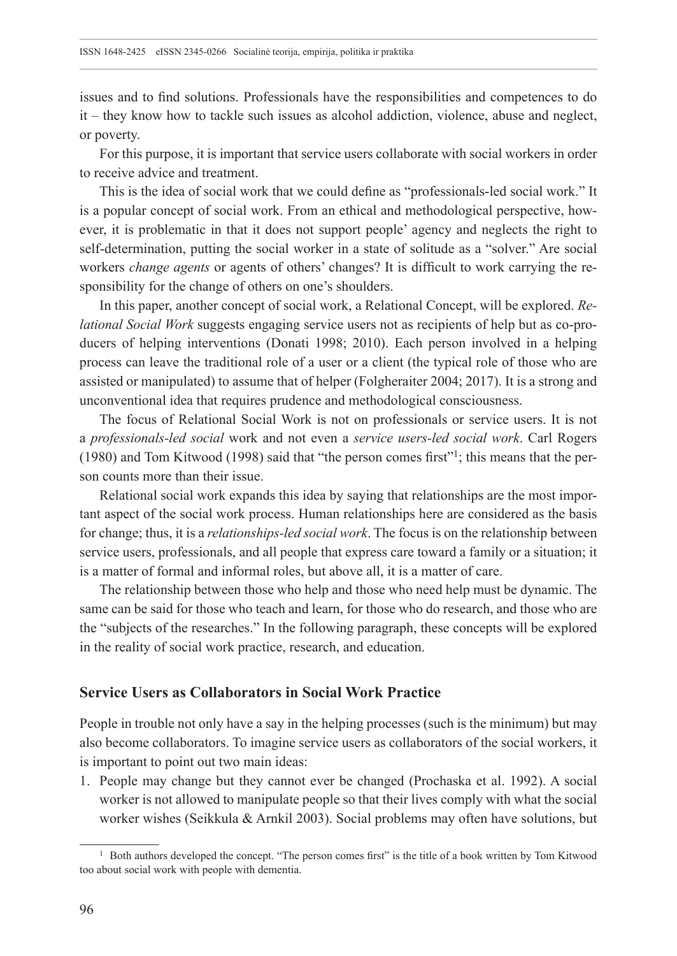issues and to find solutions. Professionals have the responsibilities and competences to do it – they know how to tackle such issues as alcohol addiction, violence, abuse and neglect, or poverty.

For this purpose, it is important that service users collaborate with social workers in order to receive advice and treatment.

This is the idea of social work that we could define as "professionals-led social work." It is a popular concept of social work. From an ethical and methodological perspective, however, it is problematic in that it does not support people' agency and neglects the right to self-determination, putting the social worker in a state of solitude as a "solver." Are social workers *change agents* or agents of others' changes? It is difficult to work carrying the responsibility for the change of others on one's shoulders.

In this paper, another concept of social work, a Relational Concept, will be explored. *Relational Social Work* suggests engaging service users not as recipients of help but as co-producers of helping interventions (Donati 1998; 2010). Each person involved in a helping process can leave the traditional role of a user or a client (the typical role of those who are assisted or manipulated) to assume that of helper (Folgheraiter 2004; 2017). It is a strong and unconventional idea that requires prudence and methodological consciousness.

The focus of Relational Social Work is not on professionals or service users. It is not a *professionals-led social* work and not even a *service users-led social work*. Carl Rogers (1980) and Tom Kitwood (1998) said that "the person comes first"1; this means that the person counts more than their issue.

Relational social work expands this idea by saying that relationships are the most important aspect of the social work process. Human relationships here are considered as the basis for change; thus, it is a *relationships-led social work*. The focus is on the relationship between service users, professionals, and all people that express care toward a family or a situation; it is a matter of formal and informal roles, but above all, it is a matter of care.

The relationship between those who help and those who need help must be dynamic. The same can be said for those who teach and learn, for those who do research, and those who are the "subjects of the researches." In the following paragraph, these concepts will be explored in the reality of social work practice, research, and education.

# **Service Users as Collaborators in Social Work Practice**

People in trouble not only have a say in the helping processes (such is the minimum) but may also become collaborators. To imagine service users as collaborators of the social workers, it is important to point out two main ideas:

1. People may change but they cannot ever be changed (Prochaska et al. 1992). A social worker is not allowed to manipulate people so that their lives comply with what the social worker wishes (Seikkula & Arnkil 2003). Social problems may often have solutions, but

<sup>&</sup>lt;sup>1</sup> Both authors developed the concept. "The person comes first" is the title of a book written by Tom Kitwood too about social work with people with dementia.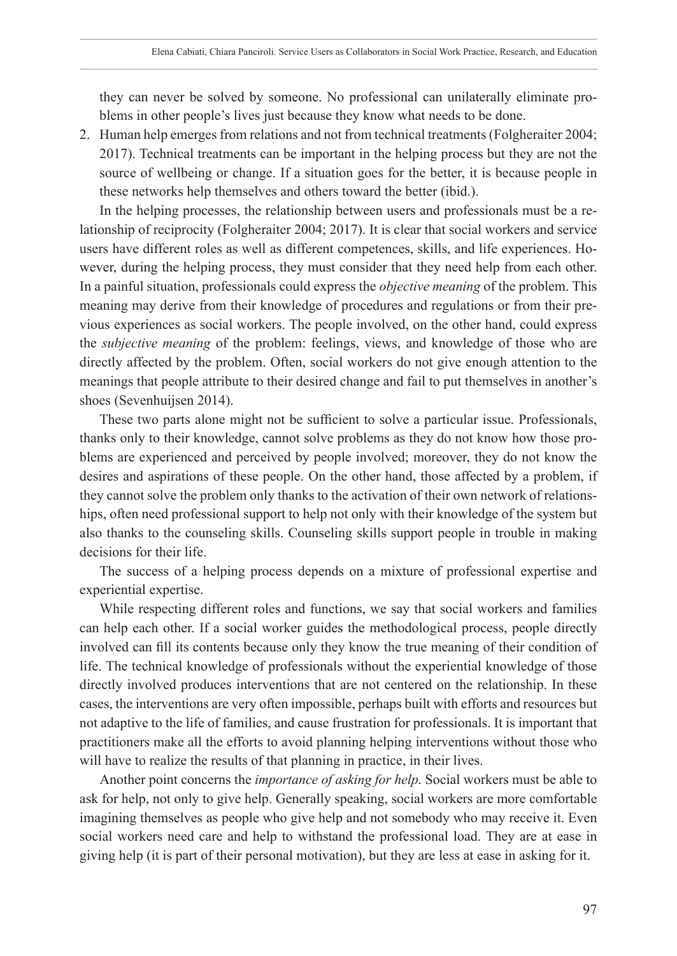they can never be solved by someone. No professional can unilaterally eliminate problems in other people's lives just because they know what needs to be done.

2. Human help emerges from relations and not from technical treatments (Folgheraiter 2004; 2017). Technical treatments can be important in the helping process but they are not the source of wellbeing or change. If a situation goes for the better, it is because people in these networks help themselves and others toward the better (ibid.).

In the helping processes, the relationship between users and professionals must be a relationship of reciprocity (Folgheraiter 2004; 2017). It is clear that social workers and service users have different roles as well as different competences, skills, and life experiences. However, during the helping process, they must consider that they need help from each other. In a painful situation, professionals could express the *objective meaning* of the problem. This meaning may derive from their knowledge of procedures and regulations or from their previous experiences as social workers. The people involved, on the other hand, could express the *subjective meaning* of the problem: feelings, views, and knowledge of those who are directly affected by the problem. Often, social workers do not give enough attention to the meanings that people attribute to their desired change and fail to put themselves in another's shoes (Sevenhuijsen 2014).

These two parts alone might not be sufficient to solve a particular issue. Professionals, thanks only to their knowledge, cannot solve problems as they do not know how those problems are experienced and perceived by people involved; moreover, they do not know the desires and aspirations of these people. On the other hand, those affected by a problem, if they cannot solve the problem only thanks to the activation of their own network of relationships, often need professional support to help not only with their knowledge of the system but also thanks to the counseling skills. Counseling skills support people in trouble in making decisions for their life.

The success of a helping process depends on a mixture of professional expertise and experiential expertise.

While respecting different roles and functions, we say that social workers and families can help each other. If a social worker guides the methodological process, people directly involved can fill its contents because only they know the true meaning of their condition of life. The technical knowledge of professionals without the experiential knowledge of those directly involved produces interventions that are not centered on the relationship. In these cases, the interventions are very often impossible, perhaps built with efforts and resources but not adaptive to the life of families, and cause frustration for professionals. It is important that practitioners make all the efforts to avoid planning helping interventions without those who will have to realize the results of that planning in practice, in their lives.

Another point concerns the *importance of asking for help*. Social workers must be able to ask for help, not only to give help. Generally speaking, social workers are more comfortable imagining themselves as people who give help and not somebody who may receive it. Even social workers need care and help to withstand the professional load. They are at ease in giving help (it is part of their personal motivation), but they are less at ease in asking for it.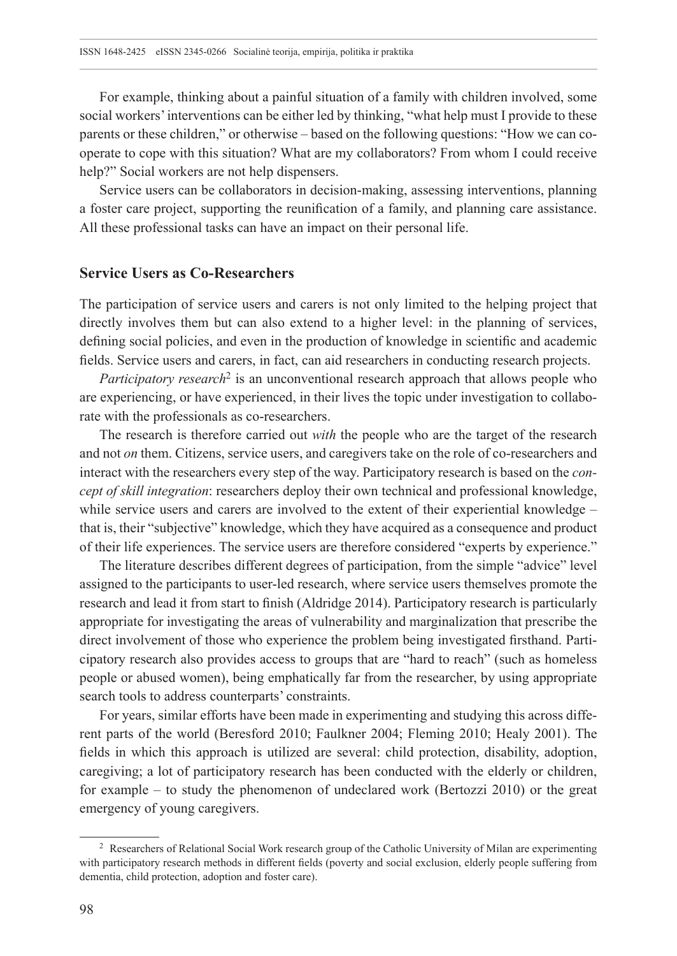For example, thinking about a painful situation of a family with children involved, some social workers' interventions can be either led by thinking, "what help must I provide to these parents or these children," or otherwise – based on the following questions: "How we can cooperate to cope with this situation? What are my collaborators? From whom I could receive help?" Social workers are not help dispensers.

Service users can be collaborators in decision-making, assessing interventions, planning a foster care project, supporting the reunification of a family, and planning care assistance. All these professional tasks can have an impact on their personal life.

#### **Service Users as Co-Researchers**

The participation of service users and carers is not only limited to the helping project that directly involves them but can also extend to a higher level: in the planning of services, defining social policies, and even in the production of knowledge in scientific and academic fields. Service users and carers, in fact, can aid researchers in conducting research projects.

*Participatory research*<sup>2</sup> is an unconventional research approach that allows people who are experiencing, or have experienced, in their lives the topic under investigation to collaborate with the professionals as co-researchers.

The research is therefore carried out *with* the people who are the target of the research and not *on* them. Citizens, service users, and caregivers take on the role of co-researchers and interact with the researchers every step of the way. Participatory research is based on the *concept of skill integration*: researchers deploy their own technical and professional knowledge, while service users and carers are involved to the extent of their experiential knowledge – that is, their "subjective" knowledge, which they have acquired as a consequence and product of their life experiences. The service users are therefore considered "experts by experience."

The literature describes different degrees of participation, from the simple "advice" level assigned to the participants to user-led research, where service users themselves promote the research and lead it from start to finish (Aldridge 2014). Participatory research is particularly appropriate for investigating the areas of vulnerability and marginalization that prescribe the direct involvement of those who experience the problem being investigated firsthand. Participatory research also provides access to groups that are "hard to reach" (such as homeless people or abused women), being emphatically far from the researcher, by using appropriate search tools to address counterparts' constraints.

For years, similar efforts have been made in experimenting and studying this across different parts of the world (Beresford 2010; Faulkner 2004; Fleming 2010; Healy 2001). The fields in which this approach is utilized are several: child protection, disability, adoption, caregiving; a lot of participatory research has been conducted with the elderly or children, for example – to study the phenomenon of undeclared work (Bertozzi 2010) or the great emergency of young caregivers.

<sup>2</sup> Researchers of Relational Social Work research group of the Catholic University of Milan are experimenting with participatory research methods in different fields (poverty and social exclusion, elderly people suffering from dementia, child protection, adoption and foster care).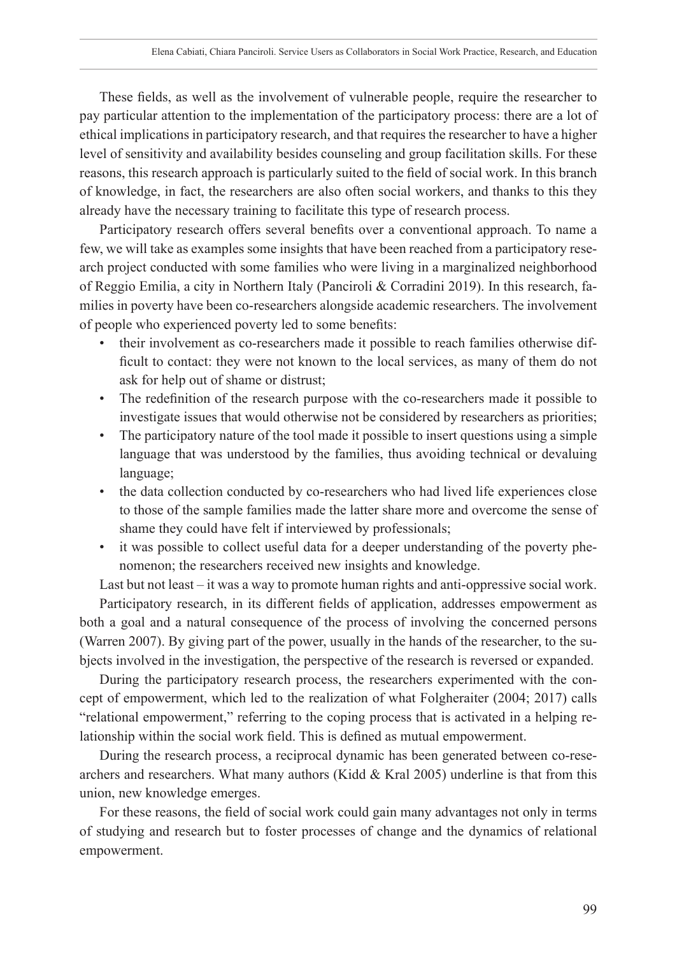These fields, as well as the involvement of vulnerable people, require the researcher to pay particular attention to the implementation of the participatory process: there are a lot of ethical implications in participatory research, and that requires the researcher to have a higher level of sensitivity and availability besides counseling and group facilitation skills. For these reasons, this research approach is particularly suited to the field of social work. In this branch of knowledge, in fact, the researchers are also often social workers, and thanks to this they already have the necessary training to facilitate this type of research process.

Participatory research offers several benefits over a conventional approach. To name a few, we will take as examples some insights that have been reached from a participatory research project conducted with some families who were living in a marginalized neighborhood of Reggio Emilia, a city in Northern Italy (Panciroli & Corradini 2019). In this research, families in poverty have been co-researchers alongside academic researchers. The involvement of people who experienced poverty led to some benefits:

- their involvement as co-researchers made it possible to reach families otherwise difficult to contact: they were not known to the local services, as many of them do not ask for help out of shame or distrust;
- The redefinition of the research purpose with the co-researchers made it possible to investigate issues that would otherwise not be considered by researchers as priorities;
- The participatory nature of the tool made it possible to insert questions using a simple language that was understood by the families, thus avoiding technical or devaluing language;
- the data collection conducted by co-researchers who had lived life experiences close to those of the sample families made the latter share more and overcome the sense of shame they could have felt if interviewed by professionals;
- it was possible to collect useful data for a deeper understanding of the poverty phenomenon; the researchers received new insights and knowledge.

Last but not least – it was a way to promote human rights and anti-oppressive social work.

Participatory research, in its different fields of application, addresses empowerment as both a goal and a natural consequence of the process of involving the concerned persons (Warren 2007). By giving part of the power, usually in the hands of the researcher, to the subjects involved in the investigation, the perspective of the research is reversed or expanded.

During the participatory research process, the researchers experimented with the concept of empowerment, which led to the realization of what Folgheraiter (2004; 2017) calls "relational empowerment," referring to the coping process that is activated in a helping relationship within the social work field. This is defined as mutual empowerment.

During the research process, a reciprocal dynamic has been generated between co-researchers and researchers. What many authors (Kidd  $&$  Kral 2005) underline is that from this union, new knowledge emerges.

For these reasons, the field of social work could gain many advantages not only in terms of studying and research but to foster processes of change and the dynamics of relational empowerment.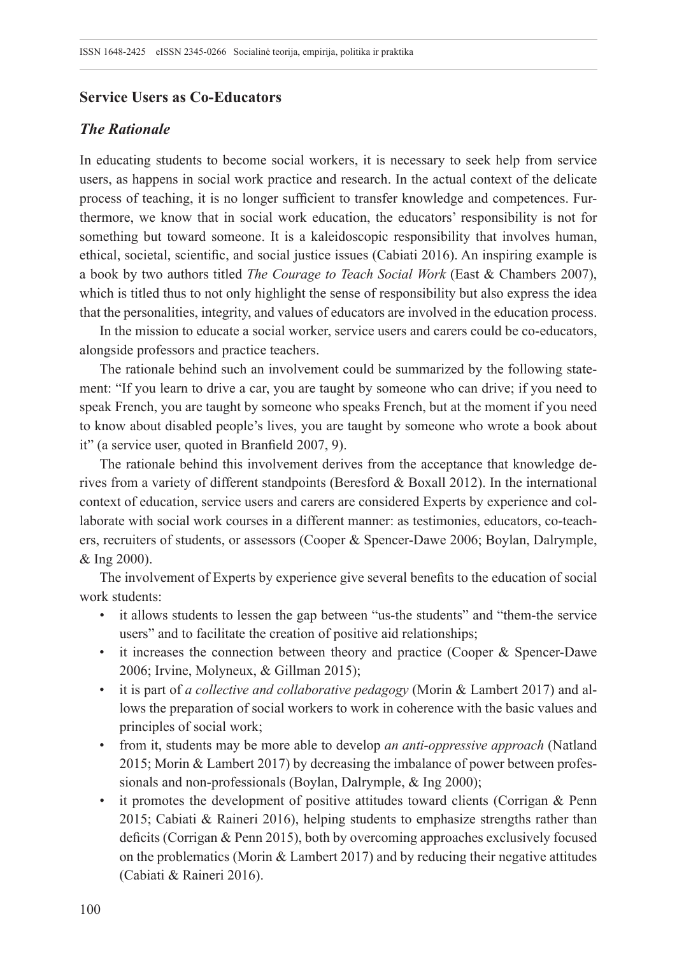# **Service Users as Co-Educators**

## *The Rationale*

In educating students to become social workers, it is necessary to seek help from service users, as happens in social work practice and research. In the actual context of the delicate process of teaching, it is no longer sufficient to transfer knowledge and competences. Furthermore, we know that in social work education, the educators' responsibility is not for something but toward someone. It is a kaleidoscopic responsibility that involves human, ethical, societal, scientific, and social justice issues (Cabiati 2016). An inspiring example is a book by two authors titled *The Courage to Teach Social Work* (East & Chambers 2007), which is titled thus to not only highlight the sense of responsibility but also express the idea that the personalities, integrity, and values of educators are involved in the education process.

In the mission to educate a social worker, service users and carers could be co-educators, alongside professors and practice teachers.

The rationale behind such an involvement could be summarized by the following statement: "If you learn to drive a car, you are taught by someone who can drive; if you need to speak French, you are taught by someone who speaks French, but at the moment if you need to know about disabled people's lives, you are taught by someone who wrote a book about it" (a service user, quoted in Branfield 2007, 9).

The rationale behind this involvement derives from the acceptance that knowledge derives from a variety of different standpoints (Beresford & Boxall 2012). In the international context of education, service users and carers are considered Experts by experience and collaborate with social work courses in a different manner: as testimonies, educators, co-teachers, recruiters of students, or assessors (Cooper & Spencer-Dawe 2006; Boylan, Dalrymple, & Ing 2000).

The involvement of Experts by experience give several benefits to the education of social work students:

- it allows students to lessen the gap between "us-the students" and "them-the service users" and to facilitate the creation of positive aid relationships;
- it increases the connection between theory and practice (Cooper & Spencer-Dawe 2006; Irvine, Molyneux, & Gillman 2015);
- it is part of *a collective and collaborative pedagogy* (Morin & Lambert 2017) and allows the preparation of social workers to work in coherence with the basic values and principles of social work;
- from it, students may be more able to develop *an anti-oppressive approach* (Natland 2015; Morin & Lambert 2017) by decreasing the imbalance of power between professionals and non-professionals (Boylan, Dalrymple, & Ing 2000);
- it promotes the development of positive attitudes toward clients (Corrigan  $&$  Penn 2015; Cabiati & Raineri 2016), helping students to emphasize strengths rather than deficits (Corrigan & Penn 2015), both by overcoming approaches exclusively focused on the problematics (Morin & Lambert 2017) and by reducing their negative attitudes (Cabiati & Raineri 2016).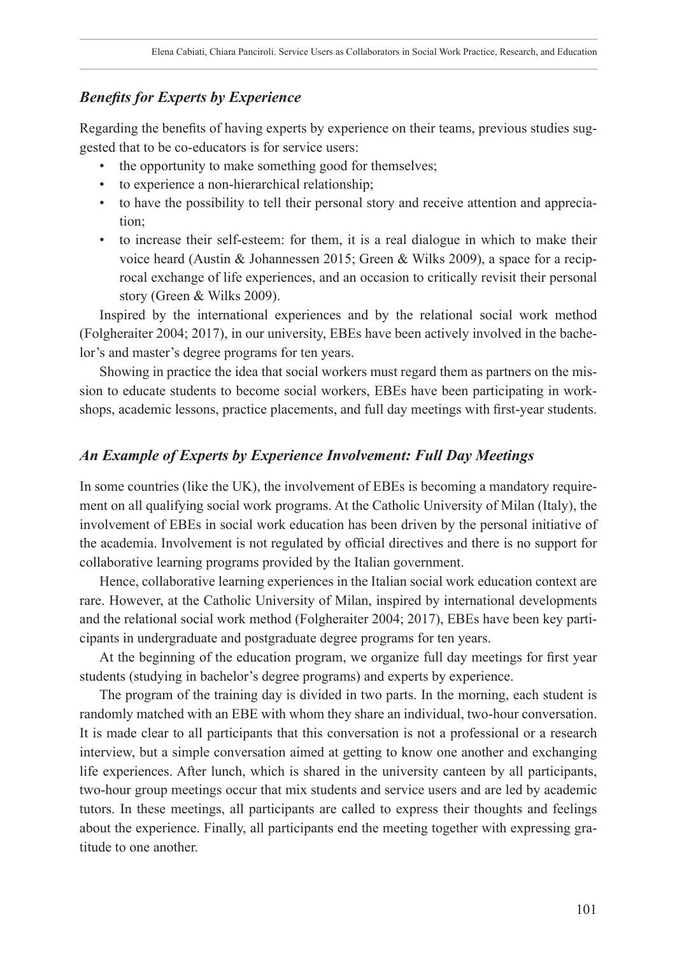# *Benefits for Experts by Experience*

Regarding the benefits of having experts by experience on their teams, previous studies suggested that to be co-educators is for service users:

- the opportunity to make something good for themselves;
- to experience a non-hierarchical relationship;
- to have the possibility to tell their personal story and receive attention and appreciation;
- to increase their self-esteem: for them, it is a real dialogue in which to make their voice heard (Austin & Johannessen 2015; Green & Wilks 2009), a space for a reciprocal exchange of life experiences, and an occasion to critically revisit their personal story (Green & Wilks 2009).

Inspired by the international experiences and by the relational social work method (Folgheraiter 2004; 2017), in our university, EBEs have been actively involved in the bachelor's and master's degree programs for ten years.

Showing in practice the idea that social workers must regard them as partners on the mission to educate students to become social workers, EBEs have been participating in workshops, academic lessons, practice placements, and full day meetings with first-year students.

#### *An Example of Experts by Experience Involvement: Full Day Meetings*

In some countries (like the UK), the involvement of EBEs is becoming a mandatory requirement on all qualifying social work programs. At the Catholic University of Milan (Italy), the involvement of EBEs in social work education has been driven by the personal initiative of the academia. Involvement is not regulated by official directives and there is no support for collaborative learning programs provided by the Italian government.

Hence, collaborative learning experiences in the Italian social work education context are rare. However, at the Catholic University of Milan, inspired by international developments and the relational social work method (Folgheraiter 2004; 2017), EBEs have been key participants in undergraduate and postgraduate degree programs for ten years.

At the beginning of the education program, we organize full day meetings for first year students (studying in bachelor's degree programs) and experts by experience.

The program of the training day is divided in two parts. In the morning, each student is randomly matched with an EBE with whom they share an individual, two-hour conversation. It is made clear to all participants that this conversation is not a professional or a research interview, but a simple conversation aimed at getting to know one another and exchanging life experiences. After lunch, which is shared in the university canteen by all participants, two-hour group meetings occur that mix students and service users and are led by academic tutors. In these meetings, all participants are called to express their thoughts and feelings about the experience. Finally, all participants end the meeting together with expressing gratitude to one another.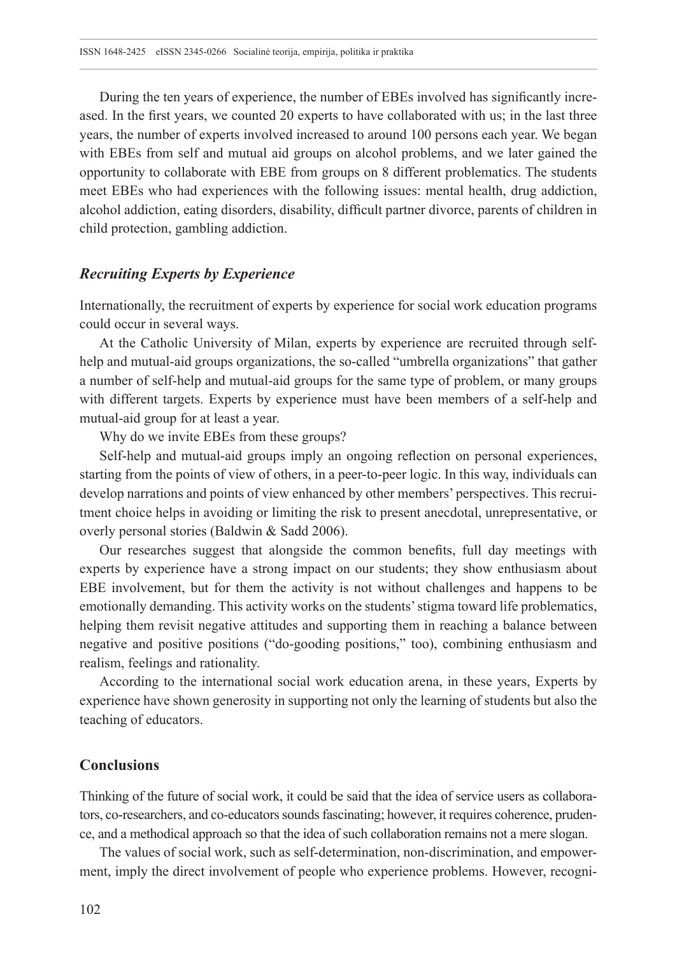During the ten years of experience, the number of EBEs involved has significantly increased. In the first years, we counted 20 experts to have collaborated with us; in the last three years, the number of experts involved increased to around 100 persons each year. We began with EBEs from self and mutual aid groups on alcohol problems, and we later gained the opportunity to collaborate with EBE from groups on 8 different problematics. The students meet EBEs who had experiences with the following issues: mental health, drug addiction, alcohol addiction, eating disorders, disability, difficult partner divorce, parents of children in child protection, gambling addiction.

# *Recruiting Experts by Experience*

Internationally, the recruitment of experts by experience for social work education programs could occur in several ways.

At the Catholic University of Milan, experts by experience are recruited through selfhelp and mutual-aid groups organizations, the so-called "umbrella organizations" that gather a number of self-help and mutual-aid groups for the same type of problem, or many groups with different targets. Experts by experience must have been members of a self-help and mutual-aid group for at least a year.

Why do we invite EBEs from these groups?

Self-help and mutual-aid groups imply an ongoing reflection on personal experiences, starting from the points of view of others, in a peer-to-peer logic. In this way, individuals can develop narrations and points of view enhanced by other members' perspectives. This recruitment choice helps in avoiding or limiting the risk to present anecdotal, unrepresentative, or overly personal stories (Baldwin & Sadd 2006).

Our researches suggest that alongside the common benefits, full day meetings with experts by experience have a strong impact on our students; they show enthusiasm about EBE involvement, but for them the activity is not without challenges and happens to be emotionally demanding. This activity works on the students' stigma toward life problematics, helping them revisit negative attitudes and supporting them in reaching a balance between negative and positive positions ("do-gooding positions," too), combining enthusiasm and realism, feelings and rationality.

According to the international social work education arena, in these years, Experts by experience have shown generosity in supporting not only the learning of students but also the teaching of educators.

#### **Conclusions**

Thinking of the future of social work, it could be said that the idea of service users as collaborators, co-researchers, and co-educators sounds fascinating; however, it requires coherence, prudence, and a methodical approach so that the idea of such collaboration remains not a mere slogan.

The values of social work, such as self-determination, non-discrimination, and empowerment, imply the direct involvement of people who experience problems. However, recogni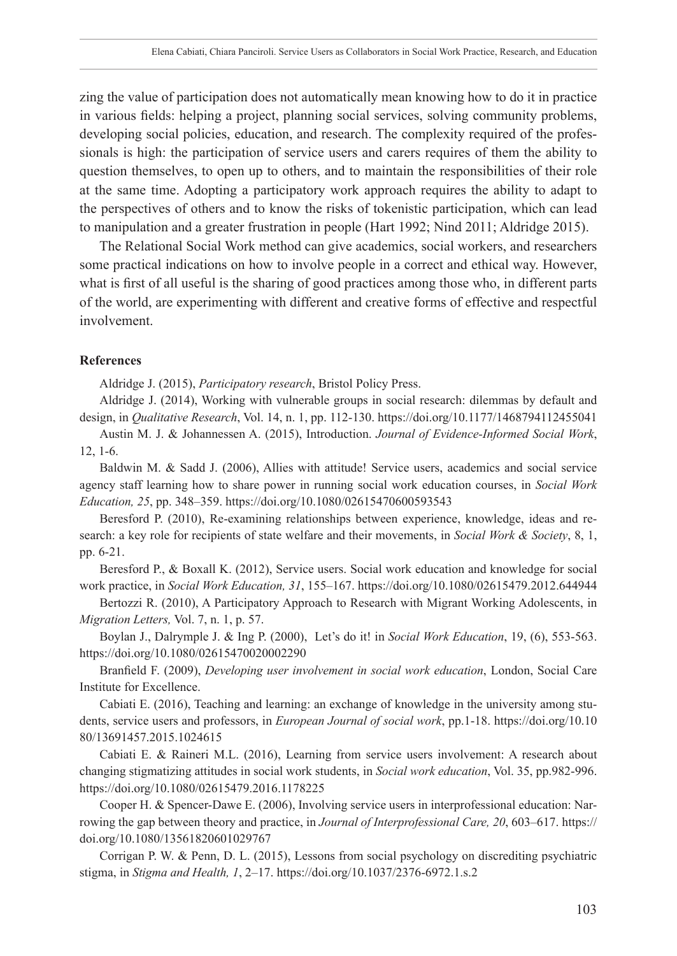zing the value of participation does not automatically mean knowing how to do it in practice in various fields: helping a project, planning social services, solving community problems, developing social policies, education, and research. The complexity required of the professionals is high: the participation of service users and carers requires of them the ability to question themselves, to open up to others, and to maintain the responsibilities of their role at the same time. Adopting a participatory work approach requires the ability to adapt to the perspectives of others and to know the risks of tokenistic participation, which can lead to manipulation and a greater frustration in people (Hart 1992; Nind 2011; Aldridge 2015).

The Relational Social Work method can give academics, social workers, and researchers some practical indications on how to involve people in a correct and ethical way. However, what is first of all useful is the sharing of good practices among those who, in different parts of the world, are experimenting with different and creative forms of effective and respectful involvement.

#### **References**

Aldridge J. (2015), *Participatory research*, Bristol Policy Press.

Aldridge J. (2014), Working with vulnerable groups in social research: dilemmas by default and design, in *Qualitative Research*, Vol. 14, n. 1, pp. 112-130.<https://doi.org/10.1177/1468794112455041>

Austin M. J. & Johannessen A. (2015), Introduction. *Journal of Evidence-Informed Social Work*, 12, 1-6.

Baldwin M. & Sadd J. (2006), Allies with attitude! Service users, academics and social service agency staff learning how to share power in running social work education courses, in *Social Work Education, 25*, pp. 348–359. <https://doi.org/10.1080/02615470600593543>

Beresford P. (2010), Re-examining relationships between experience, knowledge, ideas and research: a key role for recipients of state welfare and their movements, in *Social Work & Society*, 8, 1, pp. 6-21.

Beresford P., & Boxall K. (2012), Service users. Social work education and knowledge for social work practice, in *Social Work Education, 31*, 155–167. <https://doi.org/10.1080/02615479.2012.644944>

Bertozzi R. (2010), A Participatory Approach to Research with Migrant Working Adolescents, in *Migration Letters,* Vol. 7, n. 1, p. 57.

Boylan J., Dalrymple J. & Ing P. (2000), Let's do it! in *Social Work Education*, 19, (6), 553-563. <https://doi.org/10.1080/02615470020002290>

Branfield F. (2009), *Developing user involvement in social work education*, London, Social Care Institute for Excellence.

Cabiati E. (2016), Teaching and learning: an exchange of knowledge in the university among students, service users and professors, in *European Journal of social work*, pp.1-18. [https://doi.org/10.10](https://doi.org/10.1080/13691457.2015.1024615) [80/13691457.2015.1024615](https://doi.org/10.1080/13691457.2015.1024615)

Cabiati E. & Raineri M.L. (2016), Learning from service users involvement: A research about changing stigmatizing attitudes in social work students, in *Social work education*, Vol. 35, pp.982-996. <https://doi.org/10.1080/02615479.2016.1178225>

Cooper H. & Spencer-Dawe E. (2006), Involving service users in interprofessional education: Narrowing the gap between theory and practice, in *Journal of Interprofessional Care, 20*, 603–617. [https://](https://doi.org/10.1080/13561820601029767) [doi.org/10.1080/13561820601029767](https://doi.org/10.1080/13561820601029767)

Corrigan P. W. & Penn, D. L. (2015), Lessons from social psychology on discrediting psychiatric stigma, in *Stigma and Health, 1*, 2–17.<https://doi.org/10.1037/2376-6972.1.s.2>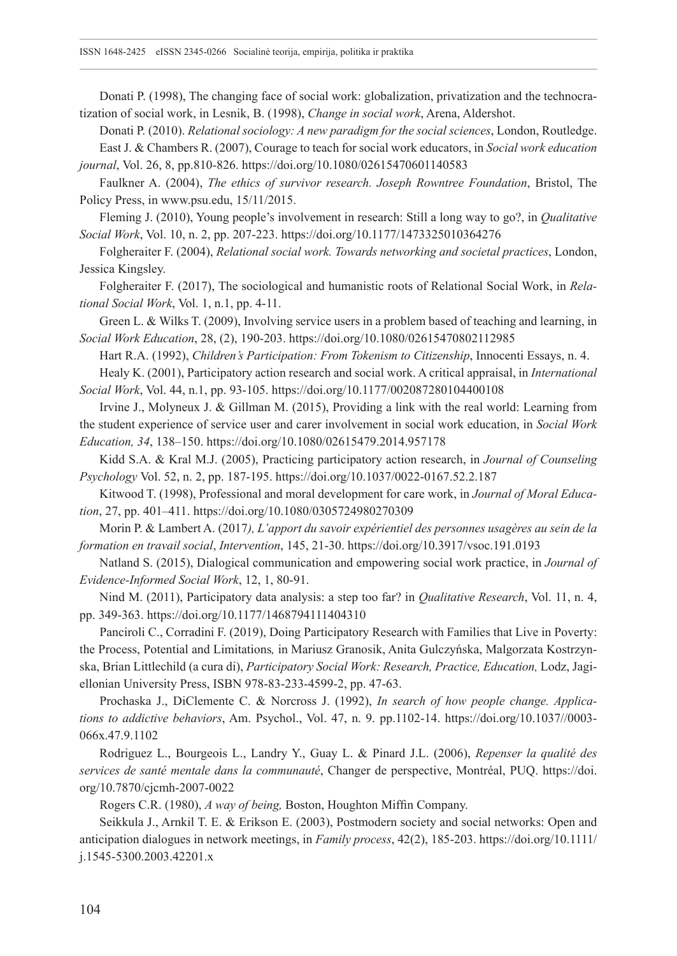Donati P. (1998), The changing face of social work: globalization, privatization and the technocratization of social work, in Lesnik, B. (1998), *Change in social work*, Arena, Aldershot.

Donati P. (2010). *Relational sociology: A new paradigm for the social sciences*, London, Routledge. East J. & Chambers R. (2007), Courage to teach for social work educators, in *Social work education journal*, Vol. 26, 8, pp.810-826.<https://doi.org/10.1080/02615470601140583>

Faulkner A. (2004), *The ethics of survivor research. Joseph Rowntree Foundation*, Bristol, The Policy Press, in [www.psu.edu,](http://www.psu.edu/) 15/11/2015.

Fleming J. (2010), Young people's involvement in research: Still a long way to go?, in *Qualitative Social Work*, Vol. 10, n. 2, pp. 207-223.<https://doi.org/10.1177/1473325010364276>

Folgheraiter F. (2004), *Relational social work. Towards networking and societal practices*, London, Jessica Kingsley.

Folgheraiter F. (2017), The sociological and humanistic roots of Relational Social Work, in *Relational Social Work*, Vol. 1, n.1, pp. 4-11.

Green L. & Wilks T. (2009), Involving service users in a problem based of teaching and learning, in *Social Work Education*, 28, (2), 190-203. <https://doi.org/10.1080/02615470802112985>

Hart R.A. (1992), *Children's Participation: From Tokenism to Citizenship*, Innocenti Essays, n. 4.

Healy K. (2001), Participatory action research and social work. A critical appraisal, in *International Social Work*, Vol. 44, n.1, pp. 93-105. <https://doi.org/10.1177/002087280104400108>

Irvine J., Molyneux J. & Gillman M. (2015), Providing a link with the real world: Learning from the student experience of service user and carer involvement in social work education, in *Social Work Education, 34*, 138–150.<https://doi.org/10.1080/02615479.2014.957178>

Kidd S.A. & Kral M.J. (2005), Practicing participatory action research, in *Journal of Counseling Psychology* Vol. 52, n. 2, pp. 187-195.<https://doi.org/10.1037/0022-0167.52.2.187>

Kitwood T. (1998), Professional and moral development for care work, in *Journal of Moral Education*, 27, pp. 401–411[. https://doi.org/10.1080/0305724980270309](https://doi.org/10.1080/0305724980270309)

Morin P. & Lambert A. (2017*), L'apport du savoir expérientiel des personnes usagères au sein de la formation en travail social*, *Intervention*, 145, 21-30. <https://doi.org/10.3917/vsoc.191.0193>

Natland S. (2015), Dialogical communication and empowering social work practice, in *Journal of Evidence-Informed Social Work*, 12, 1, 80-91.

Nind M. (2011), Participatory data analysis: a step too far? in *Qualitative Research*, Vol. 11, n. 4, pp. 349-363. <https://doi.org/10.1177/1468794111404310>

Panciroli C., Corradini F. (2019), Doing Participatory Research with Families that Live in Poverty: the Process, Potential and Limitations*,* in Mariusz Granosik, Anita Gulczyńska, Malgorzata Kostrzynska, Brian Littlechild (a cura di), *Participatory Social Work: Research, Practice, Education,* Lodz, Jagiellonian University Press, ISBN 978-83-233-4599-2, pp. 47-63.

Prochaska J., DiClemente C. & Norcross J. (1992), *In search of how people change. Applications to addictive behaviors*, Am. Psychol., Vol. 47, n. 9. pp.1102-14. [https://doi.org/10.1037//0003-](https://doi.org/10.1037//0003-066x.47.9.1102) [066x.47.9.1102](https://doi.org/10.1037//0003-066x.47.9.1102)

Rodriguez L., Bourgeois L., Landry Y., Guay L. & Pinard J.L. (2006), *Repenser la qualité des services de santé mentale dans la communauté*, Changer de perspective, Montréal, PUQ. [https://doi.](https://doi.org/10.7870/cjcmh-2007-0022) [org/10.7870/cjcmh-2007-0022](https://doi.org/10.7870/cjcmh-2007-0022)

Rogers C.R. (1980), *A way of being,* Boston, Houghton Miffin Company.

Seikkula J., Arnkil T. E. & Erikson E. (2003), Postmodern society and social networks: Open and anticipation dialogues in network meetings, in *Family process*, 42(2), 185-203. [https://doi.org/10.1111/](https://doi.org/10.1111/j.1545-5300.2003.42201.x) [j.1545-5300.2003.42201.x](https://doi.org/10.1111/j.1545-5300.2003.42201.x)